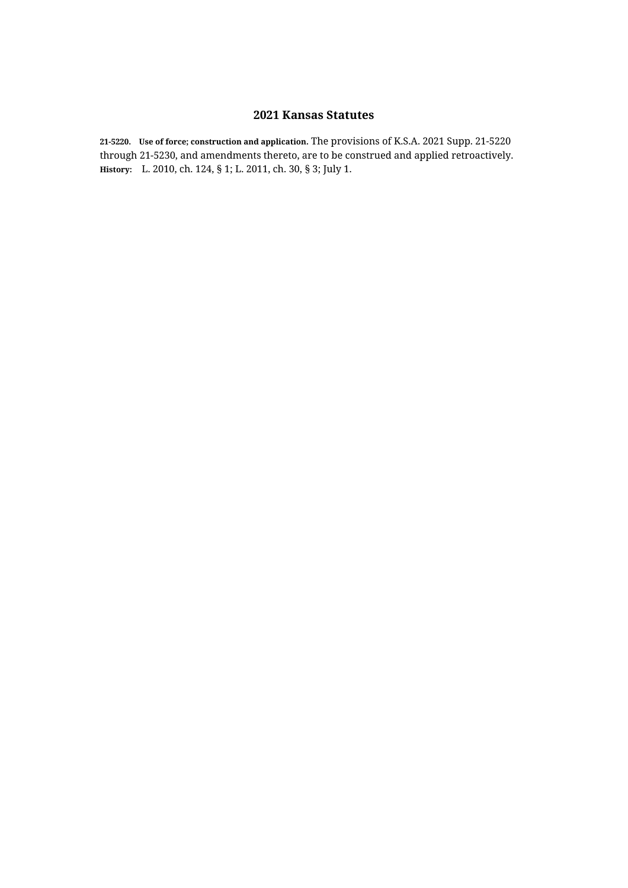**21-5220. Use of force; construction and application.** The provisions of K.S.A. 2021 Supp. 21-5220 through 21-5230, and amendments thereto, are to be construed and applied retroactively. **History:** L. 2010, ch. 124, § 1; L. 2011, ch. 30, § 3; July 1.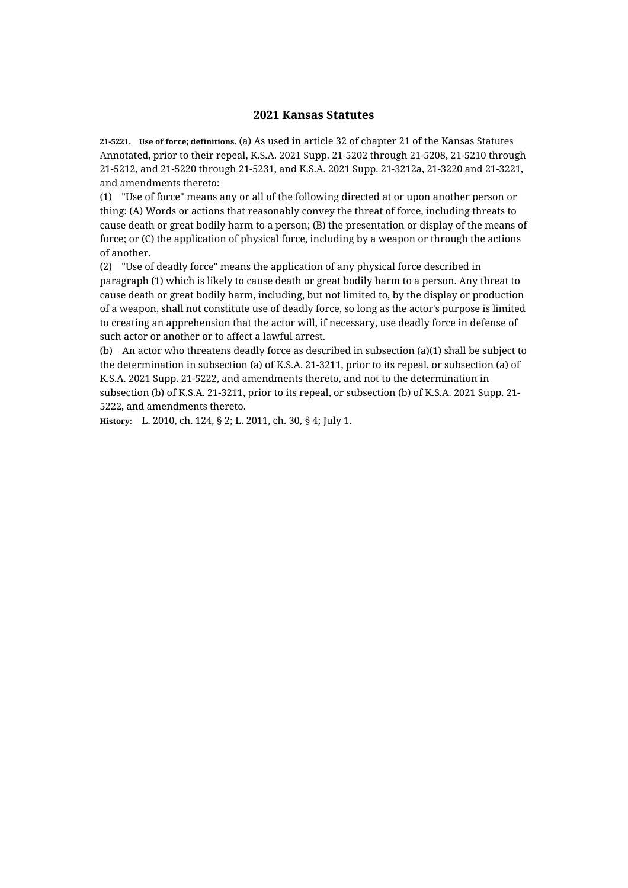**21-5221. Use of force; definitions.** (a) As used in article 32 of chapter 21 of the Kansas Statutes Annotated, prior to their repeal, K.S.A. 2021 Supp. 21-5202 through 21-5208, 21-5210 through 21-5212, and 21-5220 through 21-5231, and K.S.A. 2021 Supp. 21-3212a, 21-3220 and 21-3221, and amendments thereto:

(1) "Use of force" means any or all of the following directed at or upon another person or thing: (A) Words or actions that reasonably convey the threat of force, including threats to cause death or great bodily harm to a person; (B) the presentation or display of the means of force; or (C) the application of physical force, including by a weapon or through the actions of another.

(2) "Use of deadly force" means the application of any physical force described in paragraph (1) which is likely to cause death or great bodily harm to a person. Any threat to cause death or great bodily harm, including, but not limited to, by the display or production of a weapon, shall not constitute use of deadly force, so long as the actor's purpose is limited to creating an apprehension that the actor will, if necessary, use deadly force in defense of such actor or another or to affect a lawful arrest.

(b) An actor who threatens deadly force as described in subsection (a)(1) shall be subject to the determination in subsection (a) of K.S.A. 21-3211, prior to its repeal, or subsection (a) of K.S.A. 2021 Supp. 21-5222, and amendments thereto, and not to the determination in subsection (b) of K.S.A. 21-3211, prior to its repeal, or subsection (b) of K.S.A. 2021 Supp. 21- 5222, and amendments thereto.

**History:** L. 2010, ch. 124, § 2; L. 2011, ch. 30, § 4; July 1.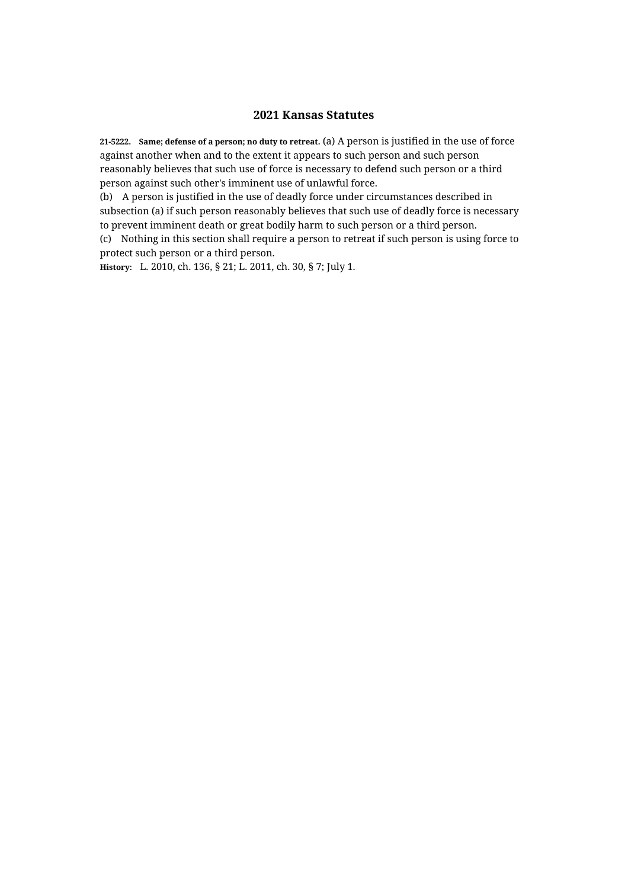**21-5222. Same; defense of a person; no duty to retreat.** (a) A person is justified in the use of force against another when and to the extent it appears to such person and such person reasonably believes that such use of force is necessary to defend such person or a third person against such other's imminent use of unlawful force.

(b) A person is justified in the use of deadly force under circumstances described in subsection (a) if such person reasonably believes that such use of deadly force is necessary to prevent imminent death or great bodily harm to such person or a third person.

(c) Nothing in this section shall require a person to retreat if such person is using force to protect such person or a third person.

**History:** L. 2010, ch. 136, § 21; L. 2011, ch. 30, § 7; July 1.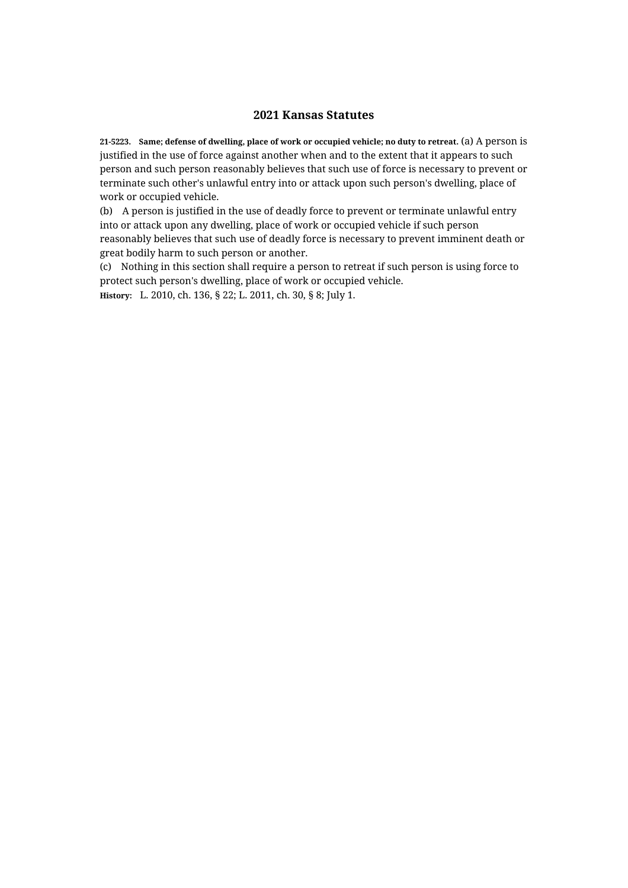**21-5223. Same; defense of dwelling, place of work or occupied vehicle; no duty to retreat.** (a) A person is justified in the use of force against another when and to the extent that it appears to such person and such person reasonably believes that such use of force is necessary to prevent or terminate such other's unlawful entry into or attack upon such person's dwelling, place of work or occupied vehicle.

(b) A person is justified in the use of deadly force to prevent or terminate unlawful entry into or attack upon any dwelling, place of work or occupied vehicle if such person reasonably believes that such use of deadly force is necessary to prevent imminent death or great bodily harm to such person or another.

(c) Nothing in this section shall require a person to retreat if such person is using force to protect such person's dwelling, place of work or occupied vehicle.

**History:** L. 2010, ch. 136, § 22; L. 2011, ch. 30, § 8; July 1.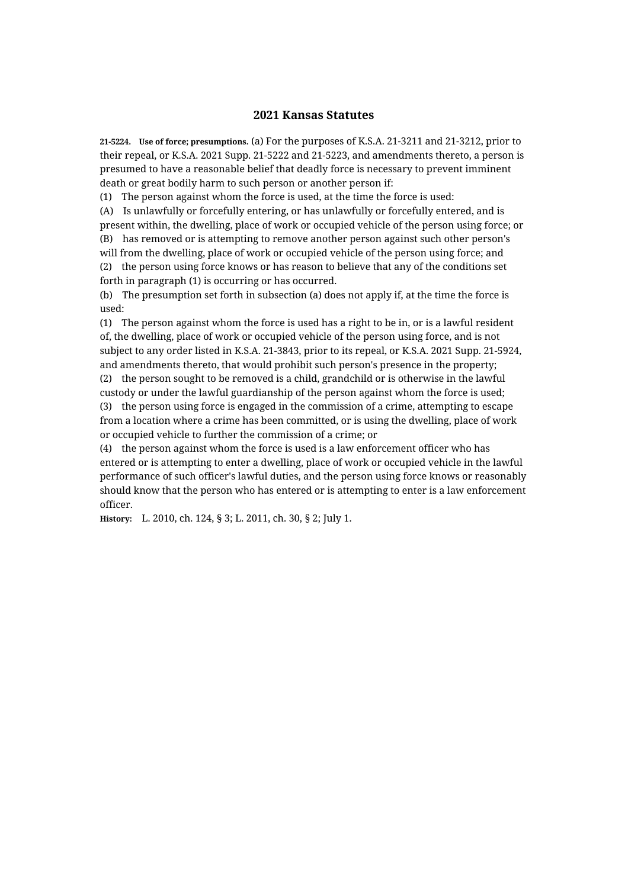**21-5224. Use of force; presumptions.** (a) For the purposes of K.S.A. 21-3211 and 21-3212, prior to their repeal, or K.S.A. 2021 Supp. 21-5222 and 21-5223, and amendments thereto, a person is presumed to have a reasonable belief that deadly force is necessary to prevent imminent death or great bodily harm to such person or another person if:

(1) The person against whom the force is used, at the time the force is used:

(A) Is unlawfully or forcefully entering, or has unlawfully or forcefully entered, and is present within, the dwelling, place of work or occupied vehicle of the person using force; or (B) has removed or is attempting to remove another person against such other person's will from the dwelling, place of work or occupied vehicle of the person using force; and (2) the person using force knows or has reason to believe that any of the conditions set forth in paragraph (1) is occurring or has occurred.

(b) The presumption set forth in subsection (a) does not apply if, at the time the force is used:

(1) The person against whom the force is used has a right to be in, or is a lawful resident of, the dwelling, place of work or occupied vehicle of the person using force, and is not subject to any order listed in K.S.A. 21-3843, prior to its repeal, or K.S.A. 2021 Supp. 21-5924, and amendments thereto, that would prohibit such person's presence in the property;

(2) the person sought to be removed is a child, grandchild or is otherwise in the lawful custody or under the lawful guardianship of the person against whom the force is used; (3) the person using force is engaged in the commission of a crime, attempting to escape from a location where a crime has been committed, or is using the dwelling, place of work or occupied vehicle to further the commission of a crime; or

(4) the person against whom the force is used is a law enforcement officer who has entered or is attempting to enter a dwelling, place of work or occupied vehicle in the lawful performance of such officer's lawful duties, and the person using force knows or reasonably should know that the person who has entered or is attempting to enter is a law enforcement officer.

**History:** L. 2010, ch. 124, § 3; L. 2011, ch. 30, § 2; July 1.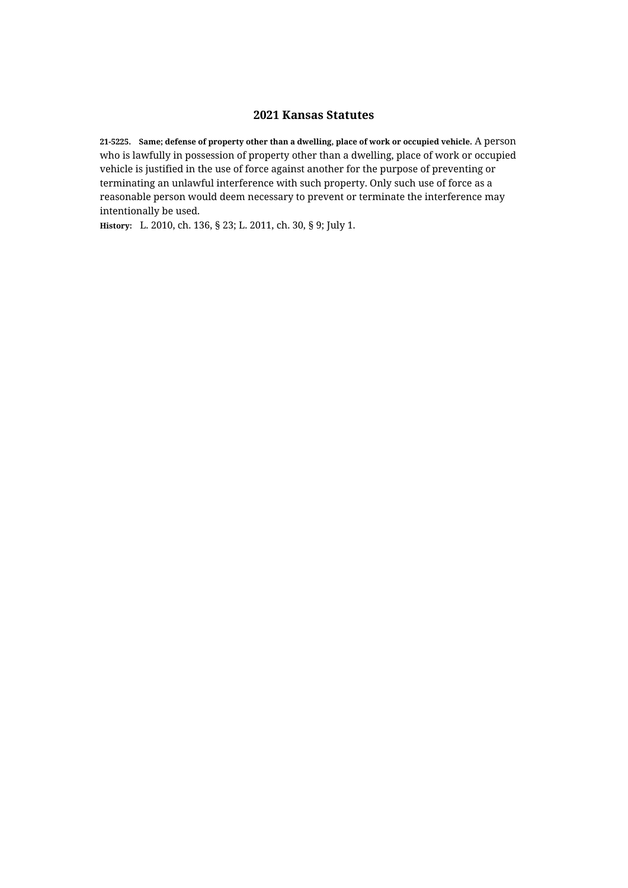**21-5225. Same; defense of property other than a dwelling, place of work or occupied vehicle.** A person who is lawfully in possession of property other than a dwelling, place of work or occupied vehicle is justified in the use of force against another for the purpose of preventing or terminating an unlawful interference with such property. Only such use of force as a reasonable person would deem necessary to prevent or terminate the interference may intentionally be used.

**History:** L. 2010, ch. 136, § 23; L. 2011, ch. 30, § 9; July 1.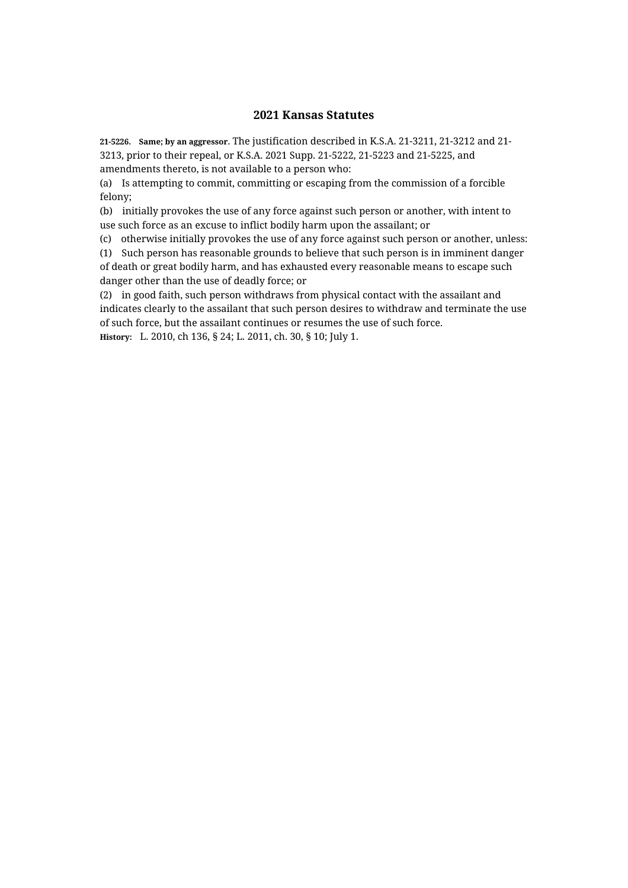**21-5226. Same; by an aggressor.** The justification described in K.S.A. 21-3211, 21-3212 and 21- 3213, prior to their repeal, or K.S.A. 2021 Supp. 21-5222, 21-5223 and 21-5225, and amendments thereto, is not available to a person who:

(a) Is attempting to commit, committing or escaping from the commission of a forcible felony;

(b) initially provokes the use of any force against such person or another, with intent to use such force as an excuse to inflict bodily harm upon the assailant; or

(c) otherwise initially provokes the use of any force against such person or another, unless:

(1) Such person has reasonable grounds to believe that such person is in imminent danger of death or great bodily harm, and has exhausted every reasonable means to escape such danger other than the use of deadly force; or

(2) in good faith, such person withdraws from physical contact with the assailant and indicates clearly to the assailant that such person desires to withdraw and terminate the use of such force, but the assailant continues or resumes the use of such force.

**History:** L. 2010, ch 136, § 24; L. 2011, ch. 30, § 10; July 1.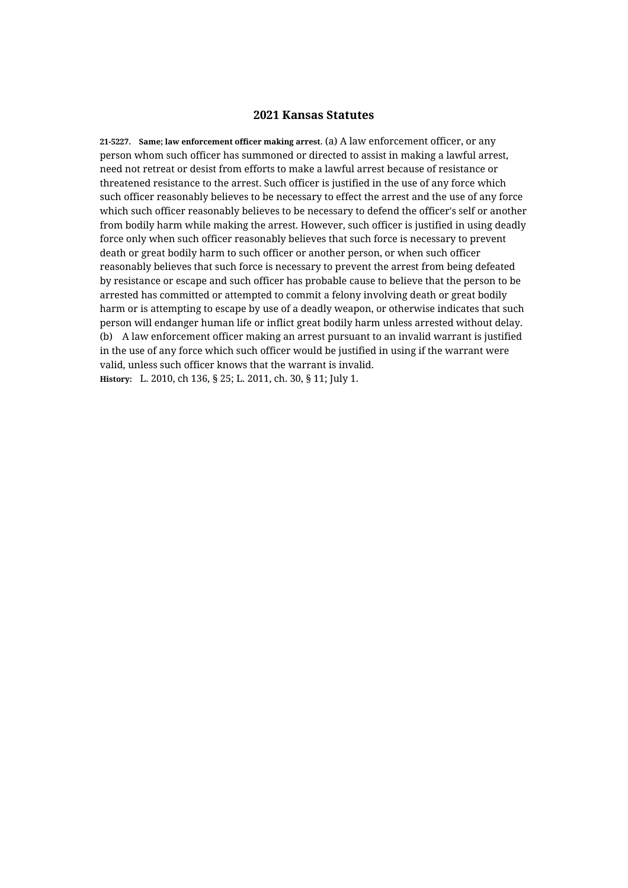**21-5227. Same; law enforcement officer making arrest.** (a) A law enforcement officer, or any person whom such officer has summoned or directed to assist in making a lawful arrest, need not retreat or desist from efforts to make a lawful arrest because of resistance or threatened resistance to the arrest. Such officer is justified in the use of any force which such officer reasonably believes to be necessary to effect the arrest and the use of any force which such officer reasonably believes to be necessary to defend the officer's self or another from bodily harm while making the arrest. However, such officer is justified in using deadly force only when such officer reasonably believes that such force is necessary to prevent death or great bodily harm to such officer or another person, or when such officer reasonably believes that such force is necessary to prevent the arrest from being defeated by resistance or escape and such officer has probable cause to believe that the person to be arrested has committed or attempted to commit a felony involving death or great bodily harm or is attempting to escape by use of a deadly weapon, or otherwise indicates that such person will endanger human life or inflict great bodily harm unless arrested without delay. (b) A law enforcement officer making an arrest pursuant to an invalid warrant is justified in the use of any force which such officer would be justified in using if the warrant were valid, unless such officer knows that the warrant is invalid. **History:** L. 2010, ch 136, § 25; L. 2011, ch. 30, § 11; July 1.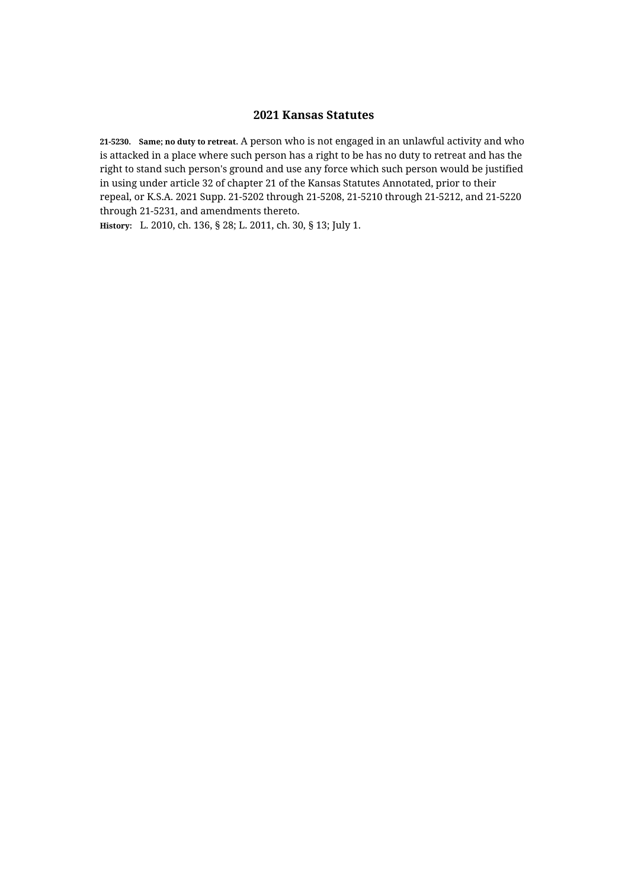**21-5230. Same; no duty to retreat.** A person who is not engaged in an unlawful activity and who is attacked in a place where such person has a right to be has no duty to retreat and has the right to stand such person's ground and use any force which such person would be justified in using under article 32 of chapter 21 of the Kansas Statutes Annotated, prior to their repeal, or K.S.A. 2021 Supp. 21-5202 through 21-5208, 21-5210 through 21-5212, and 21-5220 through 21-5231, and amendments thereto.

**History:** L. 2010, ch. 136, § 28; L. 2011, ch. 30, § 13; July 1.